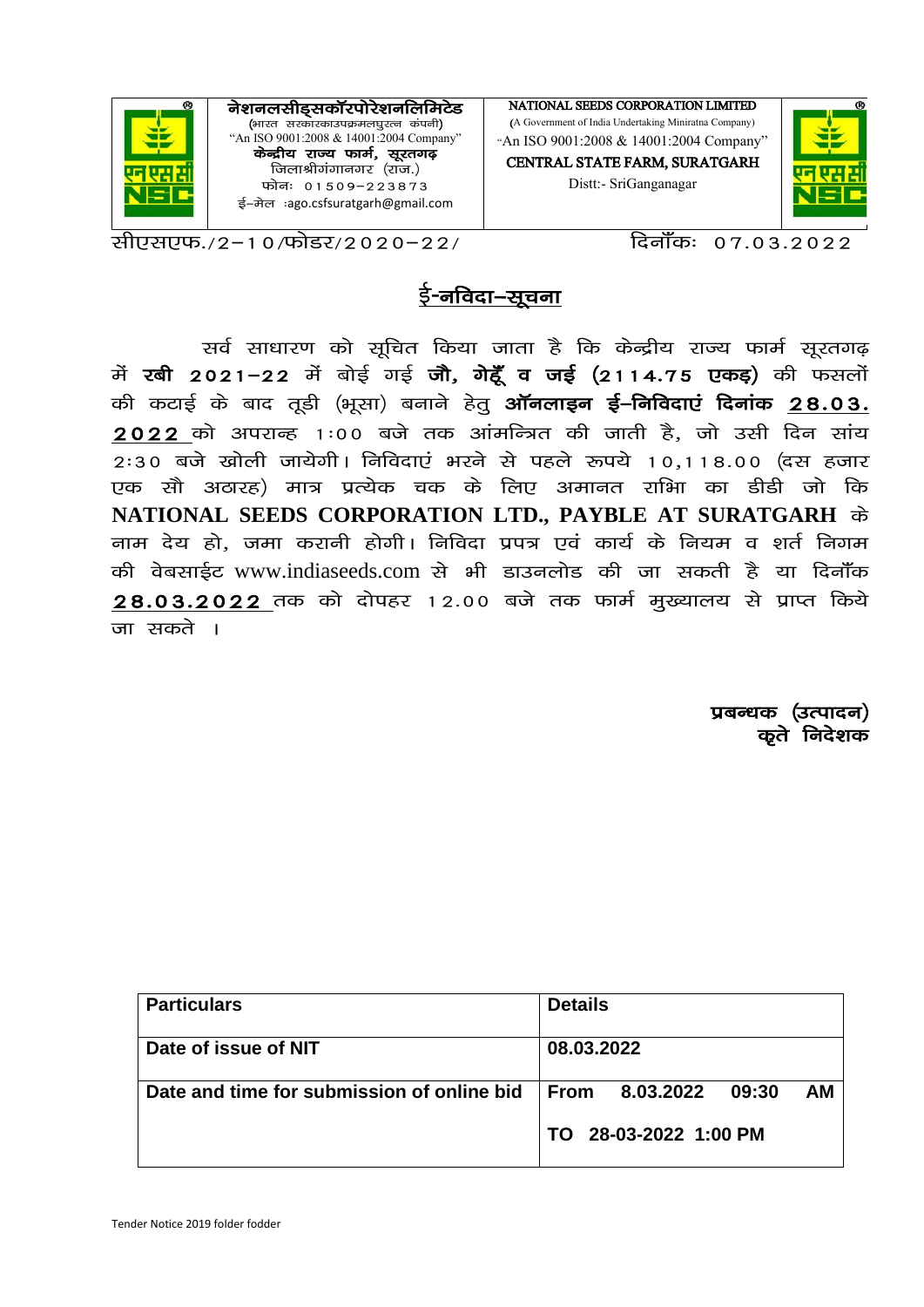

सीएसएफ.∕2−10/फोडर/2020−22/

<u>दिनॉॅंकः ०७.०३.२०२२</u>

# ई-नविदा–सूचना

सर्व साधारण को सूचित किया जाता है कि केन्द्रीय राज्य फार्म सूरतगढ़ में रबी 2021-22 में बोई गई जौ, गेहूँ व जई (2114.75 एकड़) की फसलों की कटाई के बाद तूडी (भूसा) बनाने हेतू **ऑनलाइन ई–निविदाएं दिनांक 28.03.**  $2022$  को अपराव्ह 1:00 बजे तक आंमन्त्रित की जाती है, जो उसी दिन सांय  $2:30$  बजे खोली जायेगी। निविदाएं भरने से पहले रूपये 10,118.00 (दस हजार एक सौ अठारह) मात्र प्रत्येक चक के लिए अमानत राभिा का डीडी जो कि NATIONAL SEEDS CORPORATION LTD., PAYBLE AT SURATGARH के नाम देय हो, जमा करानी होगी। निविदा प्रपत्र एवं कार्य के नियम व शर्त निगम की वेबसाईट www.indiaseeds.com से भी डाउनलोड की जा सकती है या दिनॉॅंक 28.03.2022 तक को दोपहर 12.00 बजे तक फार्म मुख्यालय से प्राप्त किये जा सकते ।

> प्रबन्धक (उत्पादन) कते निदेशक

| <b>Particulars</b>                         | <b>Details</b>                          |
|--------------------------------------------|-----------------------------------------|
| Date of issue of NIT                       | 08.03.2022                              |
| Date and time for submission of online bid | <b>AM</b><br>From<br>8.03.2022<br>09:30 |
|                                            | TO 28-03-2022 1:00 PM                   |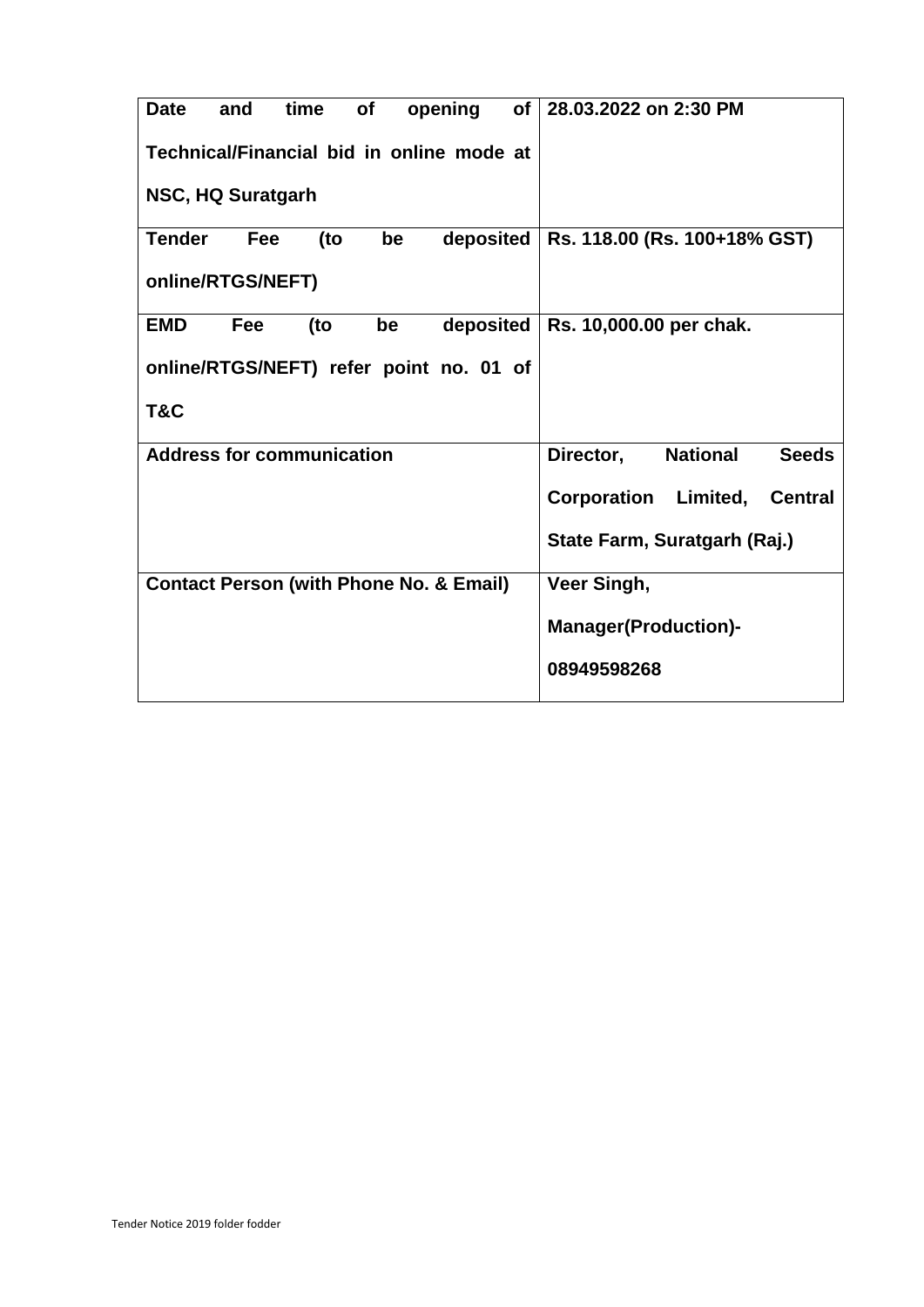| <b>Date</b><br>time<br>of<br>opening<br>and<br>of I | 28.03.2022 on 2:30 PM                        |  |  |  |
|-----------------------------------------------------|----------------------------------------------|--|--|--|
| Technical/Financial bid in online mode at           |                                              |  |  |  |
| NSC, HQ Suratgarh                                   |                                              |  |  |  |
| <b>Tender</b><br>(to<br>deposited<br>Fee<br>be      | Rs. 118.00 (Rs. 100+18% GST)                 |  |  |  |
| online/RTGS/NEFT)                                   |                                              |  |  |  |
| deposited<br><b>EMD</b><br>Fee<br>(to<br>be         | Rs. 10,000.00 per chak.                      |  |  |  |
| online/RTGS/NEFT) refer point no. 01 of             |                                              |  |  |  |
| T&C                                                 |                                              |  |  |  |
| <b>Address for communication</b>                    | <b>National</b><br><b>Seeds</b><br>Director, |  |  |  |
|                                                     | Corporation Limited,<br><b>Central</b>       |  |  |  |
|                                                     | State Farm, Suratgarh (Raj.)                 |  |  |  |
| <b>Contact Person (with Phone No. &amp; Email)</b>  | Veer Singh,                                  |  |  |  |
|                                                     | <b>Manager</b> (Production)-                 |  |  |  |
|                                                     | 08949598268                                  |  |  |  |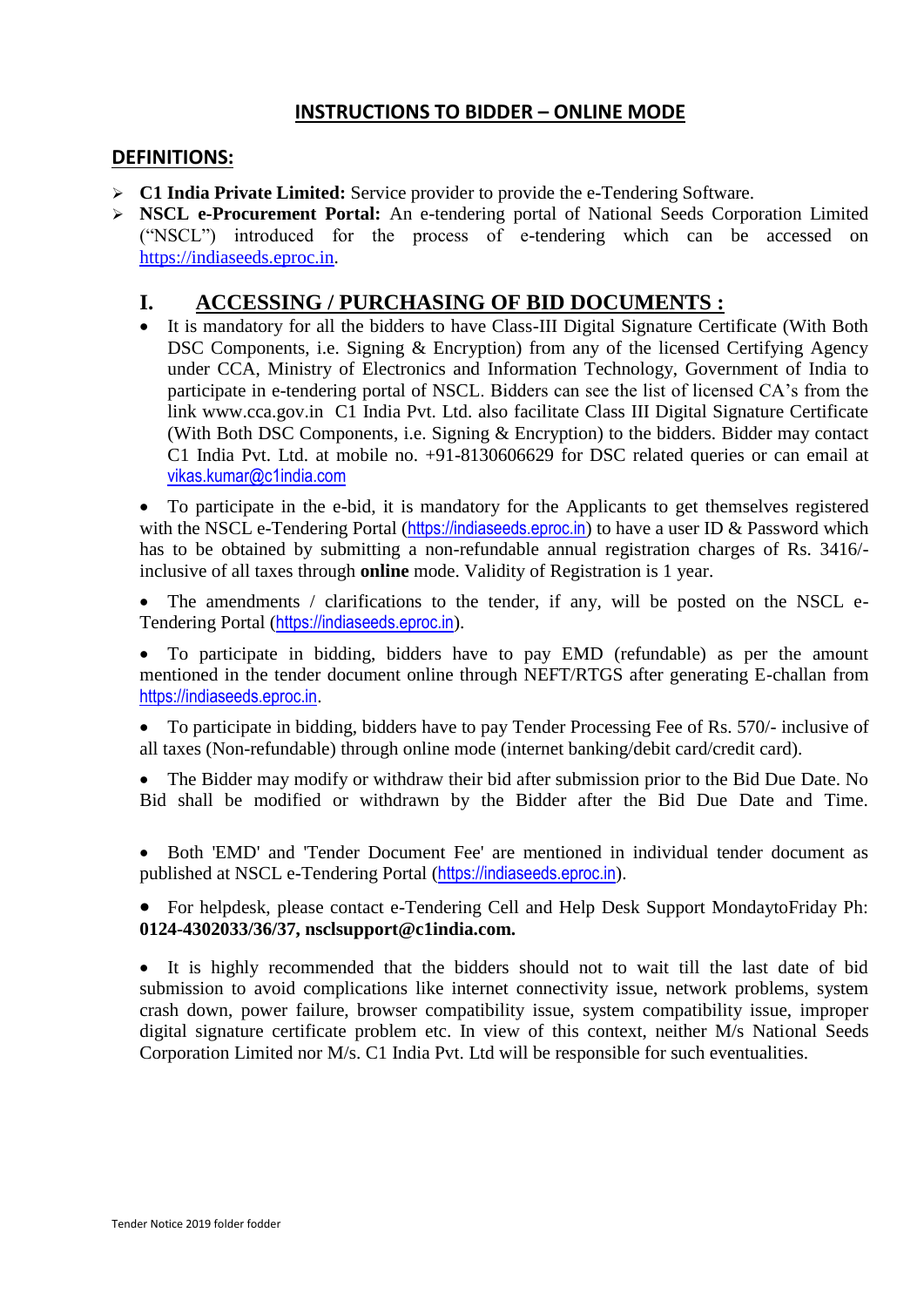#### **INSTRUCTIONS TO BIDDER – ONLINE MODE**

#### **DEFINITIONS:**

- **C1 India Private Limited:** Service provider to provide the e-Tendering Software.
- **NSCL e-Procurement Portal:** An e-tendering portal of National Seeds Corporation Limited ("NSCL") introduced for the process of e-tendering which can be accessed on [https://indiaseeds.eproc.in.](https://indiaseeds.eproc.in/)

### **I. ACCESSING / PURCHASING OF BID DOCUMENTS :**

 It is mandatory for all the bidders to have Class-III Digital Signature Certificate (With Both DSC Components, i.e. Signing & Encryption) from any of the licensed Certifying Agency under CCA, Ministry of Electronics and Information Technology, Government of India to participate in e-tendering portal of NSCL. Bidders can see the list of licensed CA's from the link www.cca.gov.in C1 India Pvt. Ltd. also facilitate Class III Digital Signature Certificate (With Both DSC Components, i.e. Signing & Encryption) to the bidders. Bidder may contact C1 India Pvt. Ltd. at mobile no. +91-8130606629 for DSC related queries or can email at vikas.kumar@c1india.com

 To participate in the e-bid, it is mandatory for the Applicants to get themselves registered with the NSCL e-Tendering Portal ([https://indiaseeds.eproc.in](https://indiaseeds.eproc.in/)) to have a user ID & Password which has to be obtained by submitting a non-refundable annual registration charges of Rs. 3416/ inclusive of all taxes through **online** mode. Validity of Registration is 1 year.

 The amendments / clarifications to the tender, if any, will be posted on the NSCL e-Tendering Portal ([https://indiaseeds.eproc.in](https://indiaseeds.eproc.in/)).

 To participate in bidding, bidders have to pay EMD (refundable) as per the amount mentioned in the tender document online through NEFT/RTGS after generating E-challan from [https://indiaseeds.eproc.in](https://indiaseeds.eproc.in/).

 To participate in bidding, bidders have to pay Tender Processing Fee of Rs. 570/- inclusive of all taxes (Non-refundable) through online mode (internet banking/debit card/credit card).

 The Bidder may modify or withdraw their bid after submission prior to the Bid Due Date. No Bid shall be modified or withdrawn by the Bidder after the Bid Due Date and Time.

 Both 'EMD' and 'Tender Document Fee' are mentioned in individual tender document as published at NSCL e-Tendering Portal ([https://indiaseeds.eproc.in](https://indiaseeds.eproc.in/)).

 For helpdesk, please contact e-Tendering Cell and Help Desk Support MondaytoFriday Ph: **0124-4302033/36/37, nsclsupport@c1india.com.**

 It is highly recommended that the bidders should not to wait till the last date of bid submission to avoid complications like internet connectivity issue, network problems, system crash down, power failure, browser compatibility issue, system compatibility issue, improper digital signature certificate problem etc. In view of this context, neither M/s National Seeds Corporation Limited nor M/s. C1 India Pvt. Ltd will be responsible for such eventualities.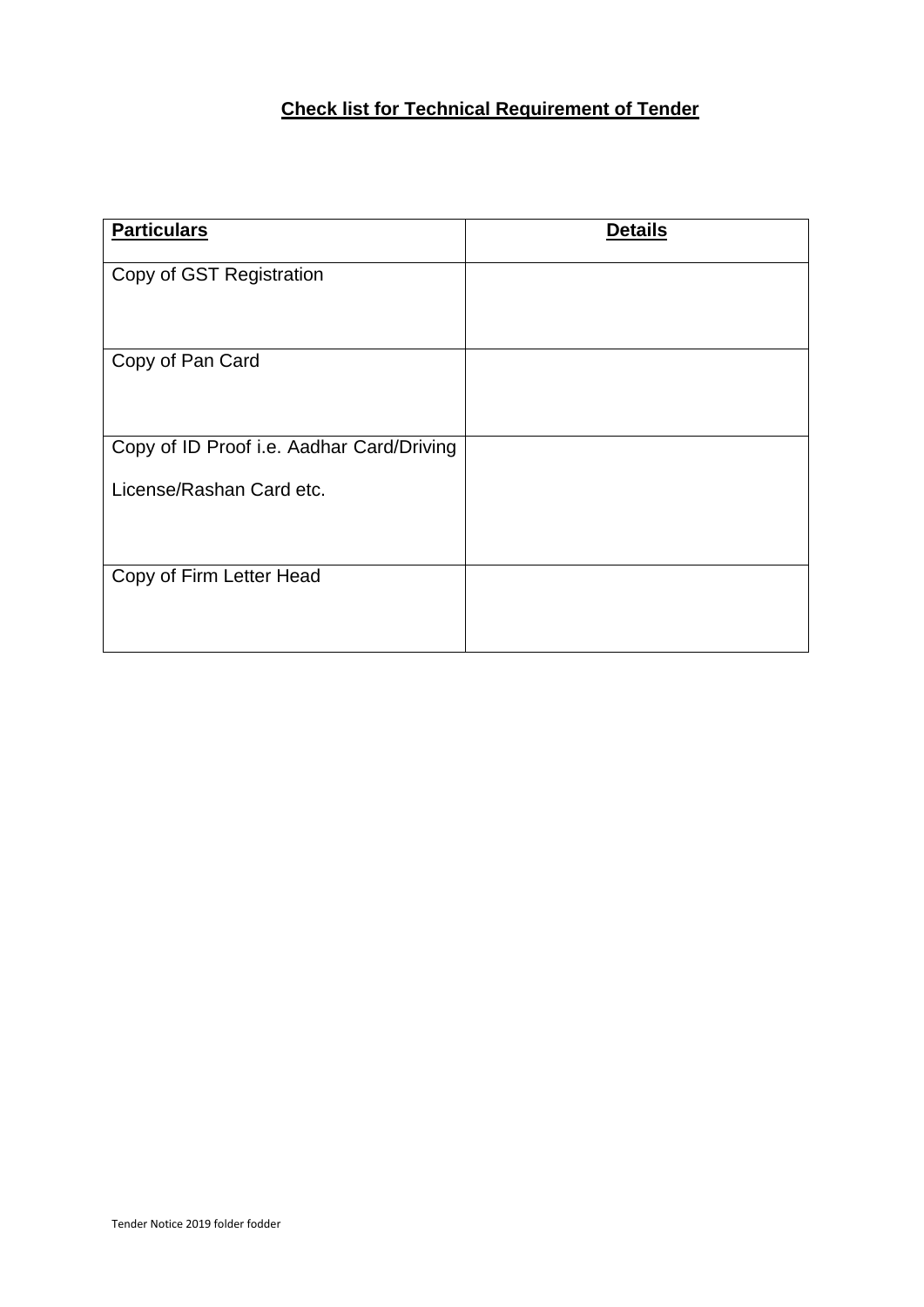### **Check list for Technical Requirement of Tender**

| <b>Particulars</b>                        | <b>Details</b> |
|-------------------------------------------|----------------|
| Copy of GST Registration                  |                |
|                                           |                |
| Copy of Pan Card                          |                |
| Copy of ID Proof i.e. Aadhar Card/Driving |                |
| License/Rashan Card etc.                  |                |
| Copy of Firm Letter Head                  |                |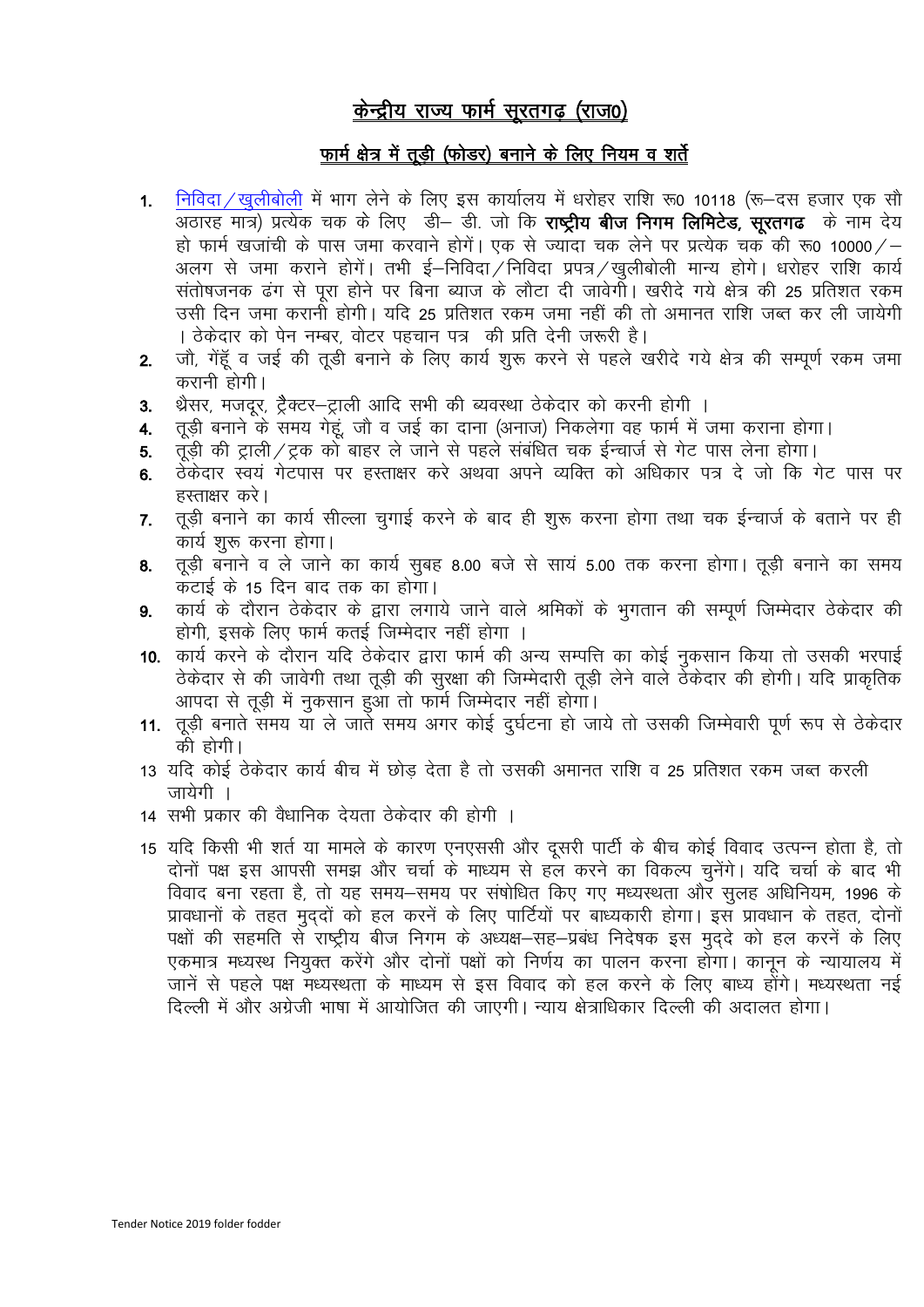# केन्द्रीय राज्य फार्म सूरतगढ़ (राज0)

#### फ़ार्म क्षेत्र में तूड़ी (फोडर) बनाने के लिए नियम व शर्ते

- 1. निविदा / खुलीबोली में भाग लेने के लिए इस कार्यालय में धरोहर राशि रू0 10118 (रू–दस हजार एक सौ जठारह मात्र) प्रत्येक चक के लिए डी- डी. जो कि **राष्ट्रीय बीज निगम लिमिटेड, सूरतगढ**़ के नाम देय हो फार्म खजांची के पास जमा करवाने होगें। एक से ज्यादा चक लेने पर प्रत्येक चक की रू0 10000/– .<br>अलग से जमा कराने होगें। तभी ई—निविदा / निविदा प्रपत्र / खुलीबोली मान्य होगे। धरोहर राशि कार्य<br>संतोषजनक ढंग से पूरा होने पर बिना ब्याज के लौटा दी जावेगी। खरीदे गये क्षेत्र की 25 प्रतिशत रकम उसी दिन जमा करानी होगी। यदि 25 प्रतिशत रकम जमा नहीं की तो अमानत राशि जब्त कर ली जायेगी । ठेकेदार को पेन नम्बर, वोटर पहचान पत्र की प्रति देनी जरूरी है।
- जौ, गेंहूँ व जई की तुड़ी बनाने के लिए कार्य शुरू करने से पहले खरीदे गये क्षेत्र की सम्पूर्ण रकम जमा  $2.$ करानी होगी।
- थ्रेसर, मजदर, टैक्टर—टाली आदि सभी की ब्यवस्था ठेकेदार को करनी होगी ।  $3<sub>l</sub>$
- तूड़ी बनाने के समय गेहूं, जौ व जई का दाना (अनाज) निकलेगा वह फार्म में जमा कराना होगा।  $4.$
- तूड़ी की ट्राली/ट्रक को बाहर ले जाने से पहले संबंधित चक ईन्चार्ज से गेट पास लेना होगा। 5.
- ठेकेदार स्वयं गेटपास पर हस्ताक्षर करे अथवा अपने व्यक्ति को अधिकार पत्र दे जो कि गेट पास पर 6. हस्ताक्षर करे।
- तड़ी बनाने का कार्य सील्ला चगाई करने के बाद ही शरू करना होगा तथा चक ईन्चार्ज के बताने पर ही  $\overline{7}$ . कार्य शुरू करना होगा।
- तूड़ी बनाने व ले जाने का कार्य सुबह 8.00 बजे से सायं 5.00 तक करना होगा। तूड़ी बनाने का समय 8. कटाई के 15 दिन बाद तक का होगा।
- कार्य के दौरान ठेकेदार के द्वारा लगाये जाने वाले श्रमिकों के भुगतान की सम्पूर्ण जिम्मेदार ठेकेदार की  $\mathbf{Q}$ होगी, इसके लिए फार्म कतई जिम्मेदार नहीं होगा ।
- 10. कार्य करने के दौरान यदि ठेकेदार द्वारा फार्म की अन्य सम्पत्ति का कोई नुकसान किया तो उसकी भरपाई ठेकेदार से की जावेगी तथा तूड़ी की सुरक्षा की जिम्मेदारी तूड़ी लेने वाले ठेकेदार की होगी। यदि प्राकृतिक आपदा से तूड़ी में नुकसान हुआ तो फार्म जिम्मेदार नहीं होगा।
- 11. तुड़ी बनाते समय या ले जाते समय अगर कोई दुर्घटना हो जाये तो उसकी जिम्मेवारी पूर्ण रूप से ठेकेदार को होगी।
- 13 यदि कोई ठेकेदार कार्य बीच में छोड़ देता है तो उसकी अमानत राशि व 25 प्रतिशत रकम जब्त करली जायेगी ।
- 14 सभी प्रकार की वैधानिक देयता ठेकेदार की होगी ।
- 15 यदि किसी भी शर्त या मामले के कारण एनएससी और दूसरी पार्टी के बीच कोई विवाद उत्पन्न होता है, तो दोनों पक्ष इस आपसी समझ और चर्चा के माध्यम से हल करने का विकल्प चुनेंगे। यदि चर्चा के बाद भी विवाद बना रहता है, तो यह समय–समय पर संषोधित किए गए मध्यस्थता और सुलह अधिनियम, 1996 के प्रावधानों के तहत मुद्दों को हल करनें के लिए पार्टियों पर बाध्यकारी होगा। इस प्रावधान के तहत, दोनों पक्षों की सहमति से राष्ट्रीय बीज निगम के अध्यक्ष–सह–प्रबंध निदेषक इस मुद्दे को हल करनें के लिए एकमात्र मध्यस्थ नियुक्त करेंगे और दोनों पक्षों को निर्णय का पालन करना होगा। कानून के न्यायालय में जानें से पहले पक्ष मध्यस्थता के माध्यम से इस विवाद को हल करने के लिए बाध्य होंगे। मध्यस्थता नई दिल्ली में और अंग्रेजी भाषा में आयोजित की जाएगी। न्याय क्षेत्राधिकार दिल्ली की अदालत होगा।